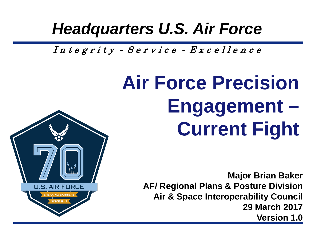#### *Headquarters U.S. Air Force*

Integrity - Service - Excellence

# **Air Force Precision Engagement – Current Fight**



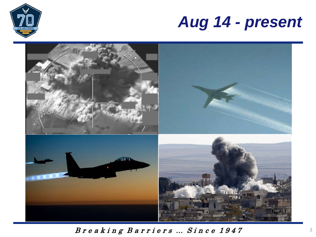

#### *Aug 14 - present*

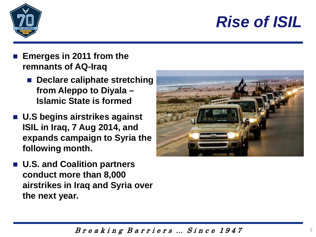### *Rise of ISIL*



- **Emerges in 2011 from the remnants of AQ-Iraq**
	- **Declare caliphate stretching from Aleppo to Diyala – Islamic State is formed**
- **U.S begins airstrikes against ISIL in Iraq, 7 Aug 2014, and expands campaign to Syria the following month.**
- **U.S. and Coalition partners conduct more than 8,000 airstrikes in Iraq and Syria over the next year.**

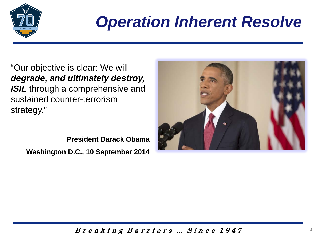

## *Operation Inherent Resolve*

"Our objective is clear: We will *degrade, and ultimately destroy, ISIL* through a comprehensive and sustained counter-terrorism strategy."

**President Barack Obama Washington D.C., 10 September 2014**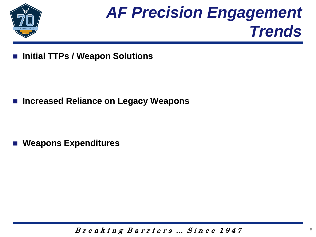

## *AF Precision Engagement Trends*

**Initial TTPs / Weapon Solutions** 

■ Increased Reliance on Legacy Weapons

**Weapons Expenditures**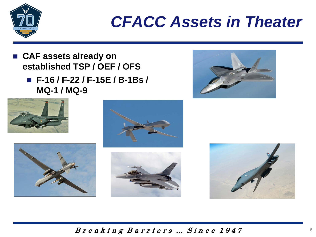

#### *CFACC Assets in Theater*

- **CAF assets already on established TSP / OEF / OFS**
	- **F-16 / F-22 / F-15E / B-1Bs / MQ-1 / MQ-9**





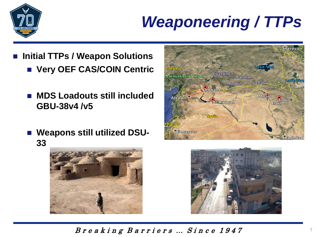

## *Weaponeering / TTPs*

- **Initial TTPs / Weapon Solutions** 
	- **Very OEF CAS/COIN Centric**
	- **MDS Loadouts still included GBU-38v4 /v5**
	- **Weapons still utilized DSU-33**





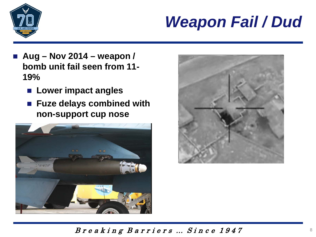

## *Weapon Fail / Dud*

- **Aug – Nov 2014 – weapon / bomb unit fail seen from 11- 19%** 
	- **Lower impact angles**
	- **Fuze delays combined with non-support cup nose**



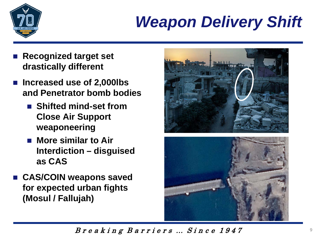

## *Weapon Delivery Shift*

- **Recognized target set drastically different**
- Increased use of 2,000lbs **and Penetrator bomb bodies**
	- **Shifted mind-set from Close Air Support weaponeering**
	- More similar to Air **Interdiction – disguised as CAS**
- **CAS/COIN weapons saved for expected urban fights (Mosul / Fallujah)**

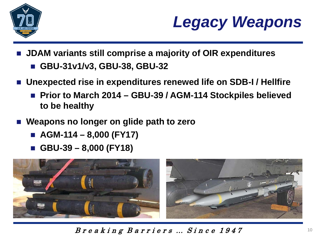



- **JDAM variants still comprise a majority of OIR expenditures**
	- **GBU-31v1/v3, GBU-38, GBU-32**
- **Unexpected rise in expenditures renewed life on SDB-I / Hellfire**
	- Prior to March 2014 GBU-39 / AGM-114 Stockpiles believed **to be healthy**
- **Weapons no longer on glide path to zero**
	- **AGM-114 – 8,000 (FY17)**
	- **GBU-39 – 8,000 (FY18)**



B r e a k i n g B a r r i e r s … S i n c e 1 9 4 7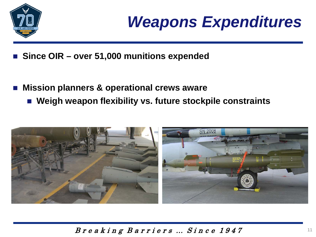



- **Since OIR – over 51,000 munitions expended**
- **Mission planners & operational crews aware**
	- **Weigh weapon flexibility vs. future stockpile constraints**